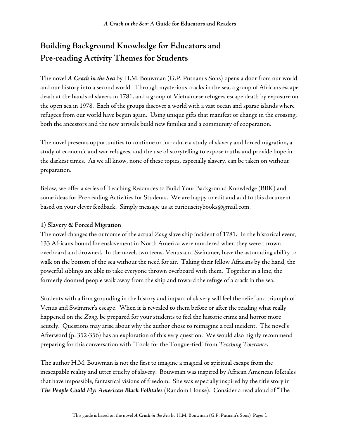# **Building Background Knowledge for Educators and Pre-reading Activity Themes for Students**

The novel *A Crack in the Sea* by H.M. Bouwman (G.P. Putnam's Sons) opens a door from our world and our history into a second world. Through mysterious cracks in the sea, a group of Africans escape death at the hands of slavers in 1781, and a group of Vietnamese refugees escape death by exposure on the open sea in 1978. Each of the groups discover a world with a vast ocean and sparse islands where refugees from our world have begun again. Using unique gifts that manifest or change in the crossing, both the ancestors and the new arrivals build new families and a community of cooperation.

The novel presents opportunities to continue or introduce a study of slavery and forced migration, a study of economic and war refugees, and the use of storytelling to expose truths and provide hope in the darkest times. As we all know, none of these topics, especially slavery, can be taken on without preparation.

Below, we offer a series of Teaching Resources to Build Your Background Knowledge (BBK) and some ideas for Pre-reading Activities for Students. We are happy to edit and add to this document based on your clever feedback. Simply message us at curiouscitybooks@gmail.com.

## **1) Slavery & Forced Migration**

The novel changes the outcome of the actual *Zong* slave ship incident of 1781. In the historical event, 133 Africans bound for enslavement in North America were murdered when they were thrown overboard and drowned. In the novel, two teens, Venus and Swimmer, have the astounding ability to walk on the bottom of the sea without the need for air. Taking their fellow Africans by the hand, the powerful siblings are able to take everyone thrown overboard with them. Together in a line, the formerly doomed people walk away from the ship and toward the refuge of a crack in the sea.

Students with a firm grounding in the history and impact of slavery will feel the relief and triumph of Venus and Swimmer's escape. When it is revealed to them before or after the reading what really happened on the *Zong*, be prepared for your students to feel the historic crime and horror more acutely. Questions may arise about why the author chose to reimagine a real incident. The novel's Afterword (p. 352-356) has an exploration of this very question. We would also highly recommend preparing for this conversation with "Tools for the Tongue-tied" from *Teaching Tolerance*.

The author H.M. Bouwman is not the first to imagine a magical or spiritual escape from the inescapable reality and utter cruelty of slavery. Bouwman was inspired by African American folktales that have impossible, fantastical visions of freedom. She was especially inspired by the title story in *The People Could Fly: American Black Folktales* (Random House). Consider a read aloud of "The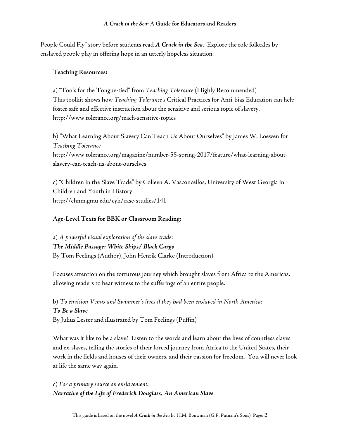People Could Fly" story before students read *A Crack in the Sea*. Explore the role folktales by enslaved people play in offering hope in an utterly hopeless situation.

## **Teaching Resources:**

a) "Tools for the Tongue-tied" from *Teaching Tolerance* (Highly Recommended) This toolkit shows how *Teaching Tolerance's* Critical Practices for Anti-bias Education can help foster safe and effective instruction about the sensitive and serious topic of slavery. http://www.tolerance.org/teach-sensitive-topics

b) "What Learning About Slavery Can Teach Us About Ourselves" by James W. Loewen for *Teaching Tolerance* http://www.tolerance.org/magazine/number-55-spring-2017/feature/what-learning-aboutslavery-can-teach-us-about-ourselves

c) "Children in the Slave Trade" by Colleen A. Vasconcellos, University of West Georgia in Children and Youth in History http://chnm.gmu.edu/cyh/case-studies/141

## **Age-Level Texts for BBK or Classroom Reading:**

a) *A powerful visual exploration of the slave trade: The Middle Passage: White Ships/ Black Cargo* By Tom Feelings (Author), John Henrik Clarke (Introduction)

Focuses attention on the torturous journey which brought slaves from Africa to the Americas, allowing readers to bear witness to the sufferings of an entire people.

b) *To envision Venus and Swimmer's lives if they had been enslaved in North America: To Be a Slave* By Julius Lester and illustrated by Tom Feelings (Puffin)

What was it like to be a slave? Listen to the words and learn about the lives of countless slaves and ex-slaves, telling the stories of their forced journey from Africa to the United States, their work in the fields and houses of their owners, and their passion for freedom. You will never look at life the same way again.

c) *For a primary source on enslavement: Narrative of the Life of Frederick Douglass, An American Slave*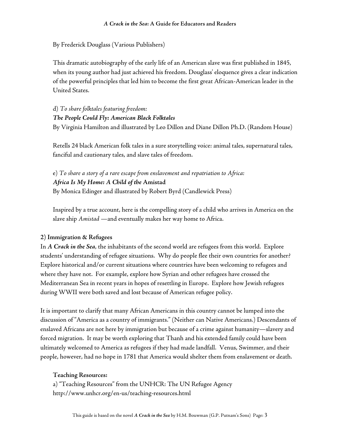By Frederick Douglass (Various Publishers)

This dramatic autobiography of the early life of an American slave was first published in 1845, when its young author had just achieved his freedom. Douglass' eloquence gives a clear indication of the powerful principles that led him to become the first great African-American leader in the United States.

d) *To share folktales featuring freedom: The People Could Fly: American Black Folktales* By Virginia Hamilton and illustrated by Leo Dillon and Diane Dillon Ph.D. (Random House)

Retells 24 black American folk tales in a sure storytelling voice: animal tales, supernatural tales, fanciful and cautionary tales, and slave tales of freedom.

e) *To share a story of a rare escape from enslavement and repatriation to Africa: Africa Is My Home: A Child of the* **Amistad** By Monica Edinger and illustrated by Robert Byrd (Candlewick Press)

Inspired by a true account, here is the compelling story of a child who arrives in America on the slave ship *Amistad* —and eventually makes her way home to Africa.

### **2) Immigration & Refugees**

In *A Crack in the Sea*, the inhabitants of the second world are refugees from this world. Explore students' understanding of refugee situations. Why do people flee their own countries for another? Explore historical and/or current situations where countries have been welcoming to refugees and where they have not. For example, explore how Syrian and other refugees have crossed the Mediterranean Sea in recent years in hopes of resettling in Europe. Explore how Jewish refugees during WWII were both saved and lost because of American refugee policy.

It is important to clarify that many African Americans in this country cannot be lumped into the discussion of "America as a country of immigrants." (Neither can Native Americans.) Descendants of enslaved Africans are not here by immigration but because of a crime against humanity—slavery and forced migration. It may be worth exploring that Thanh and his extended family could have been ultimately welcomed to America as refugees if they had made landfall. Venus, Swimmer, and their people, however, had no hope in 1781 that America would shelter them from enslavement or death.

### **Teaching Resources:**

a) "Teaching Resources" from the UNHCR: The UN Refugee Agency http://www.unhcr.org/en-us/teaching-resources.html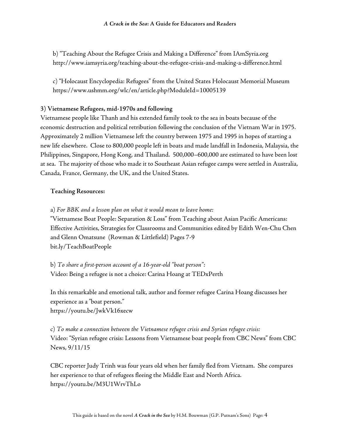b) "Teaching About the Refugee Crisis and Making a Difference" from IAmSyria.org http://www.iamsyria.org/teaching-about-the-refugee-crisis-and-making-a-difference.html

c) "Holocaust Encyclopedia: Refugees" from the United States Holocaust Memorial Museum https://www.ushmm.org/wlc/en/article.php?ModuleId=10005139

### **3) Vietnamese Refugees, mid-1970s and following**

Vietnamese people like Thanh and his extended family took to the sea in boats because of the economic destruction and political retribution following the conclusion of the Vietnam War in 1975. Approximately 2 million Vietnamese left the country between 1975 and 1995 in hopes of starting a new life elsewhere. Close to 800,000 people left in boats and made landfall in Indonesia, Malaysia, the Philippines, Singapore, Hong Kong, and Thailand. 500,000–600,000 are estimated to have been lost at sea. The majority of those who made it to Southeast Asian refugee camps were settled in Australia, Canada, France, Germany, the UK, and the United States.

## **Teaching Resources:**

a) *For BBK and a lesson plan on what it would mean to leave home:*

"Vietnamese Boat People: Separation & Loss" from Teaching about Asian Pacific Americans: Effective Activities, Strategies for Classrooms and Communities edited by Edith Wen-Chu Chen and Glenn Omatsune (Rowman & Littlefield) Pages 7-9 bit.ly/TeachBoatPeople

b) *To share a first-person account of a 16-year-old "boat person":* Video: Being a refugee is not a choice: Carina Hoang at TEDxPerth

In this remarkable and emotional talk, author and former refugee Carina Hoang discusses her experience as a "boat person." https://youtu.be/JwkVk16xecw

c) *To make a connection between the Vietnamese refugee crisis and Syrian refugee crisis:* Video: "Syrian refugee crisis: Lessons from Vietnamese boat people from CBC News" from CBC News, 9/11/15

CBC reporter Judy Trinh was four years old when her family fled from Vietnam. She compares her experience to that of refugees fleeing the Middle East and North Africa. https://youtu.be/M3U1WrvThLo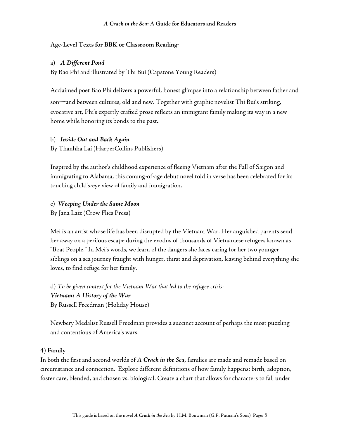## **Age-Level Texts for BBK or Classroom Reading:**

### a) *A Different Pond*

By Bao Phi and illustrated by Thi Bui (Capstone Young Readers)

Acclaimed poet Bao Phi delivers a powerful, honest glimpse into a relationship between father and son—and between cultures, old and new. Together with graphic novelist Thi Bui's striking, evocative art, Phi's expertly crafted prose reflects an immigrant family making its way in a new home while honoring its bonds to the past*.*

- b) *Inside Out and Back Again*
- By Thanhha Lai (HarperCollins Publishers)

Inspired by the author's childhood experience of fleeing Vietnam after the Fall of Saigon and immigrating to Alabama, this coming-of-age debut novel told in verse has been celebrated for its touching child's-eye view of family and immigration.

c) *Weeping Under the Same Moon*

By Jana Laiz (Crow Flies Press)

Mei is an artist whose life has been disrupted by the Vietnam War. Her anguished parents send her away on a perilous escape during the exodus of thousands of Vietnamese refugees known as "Boat People." In Mei's words, we learn of the dangers she faces caring for her two younger siblings on a sea journey fraught with hunger, thirst and deprivation, leaving behind everything she loves, to find refuge for her family.

d) *To be given context for the Vietnam War that led to the refugee crisis: Vietnam: A History of the War* By Russell Freedman (Holiday House)

Newbery Medalist Russell Freedman provides a succinct account of perhaps the most puzzling and contentious of America's wars.

### **4) Family**

In both the first and second worlds of *A Crack in the Sea*, families are made and remade based on circumstance and connection. Explore different definitions of how family happens: birth, adoption, foster care, blended, and chosen vs. biological. Create a chart that allows for characters to fall under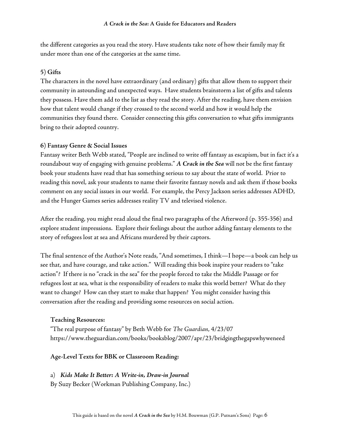the different categories as you read the story. Have students take note of how their family may fit under more than one of the categories at the same time.

#### **5) Gifts**

The characters in the novel have extraordinary (and ordinary) gifts that allow them to support their community in astounding and unexpected ways. Have students brainstorm a list of gifts and talents they possess. Have them add to the list as they read the story. After the reading, have them envision how that talent would change if they crossed to the second world and how it would help the communities they found there. Consider connecting this gifts conversation to what gifts immigrants bring to their adopted country.

#### **6) Fantasy Genre & Social Issues**

Fantasy writer Beth Webb stated, "People are inclined to write off fantasy as escapism, but in fact it's a roundabout way of engaging with genuine problems." *A Crack in the Sea* will not be the first fantasy book your students have read that has something serious to say about the state of world. Prior to reading this novel, ask your students to name their favorite fantasy novels and ask them if those books comment on any social issues in our world. For example, the Percy Jackson series addresses ADHD, and the Hunger Games series addresses reality TV and televised violence.

After the reading, you might read aloud the final two paragraphs of the Afterword (p. 355-356) and explore student impressions. Explore their feelings about the author adding fantasy elements to the story of refugees lost at sea and Africans murdered by their captors.

The final sentence of the Author's Note reads, "And sometimes, I think—I hope—a book can help us see that, and have courage, and take action." Will reading this book inspire your readers to "take action"? If there is no "crack in the sea" for the people forced to take the Middle Passage or for refugees lost at sea, what is the responsibility of readers to make this world better? What do they want to change? How can they start to make that happen? You might consider having this conversation after the reading and providing some resources on social action.

#### **Teaching Resources:**

"The real purpose of fantasy" by Beth Webb for *The Guardian*, 4/23/07 https://www.theguardian.com/books/booksblog/2007/apr/23/bridgingthegapswhyweneed

#### **Age-Level Texts for BBK or Classroom Reading:**

#### a) *Kids Make It Better: A Write-in, Draw-in Journal*

By Suzy Becker (Workman Publishing Company, Inc.)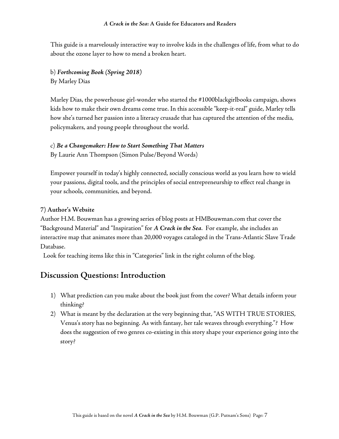This guide is a marvelously interactive way to involve kids in the challenges of life, from what to do about the ozone layer to how to mend a broken heart.

b) *Forthcoming Book (Spring 2018)* By Marley Dias

Marley Dias, the powerhouse girl-wonder who started the #1000blackgirlbooks campaign, shows kids how to make their own dreams come true. In this accessible "keep-it-real" guide, Marley tells how she's turned her passion into a literacy crusade that has captured the attention of the media, policymakers, and young people throughout the world.

### c) *Be a Changemaker: How to Start Something That Matters*

By Laurie Ann Thompson (Simon Pulse/Beyond Words)

Empower yourself in today's highly connected, socially conscious world as you learn how to wield your passions, digital tools, and the principles of social entrepreneurship to effect real change in your schools, communities, and beyond.

### **7) Author's Website**

Author H.M. Bouwman has a growing series of blog posts at HMBouwman.com that cover the "Background Material" and "Inspiration" for *A Crack in the Sea*. For example, she includes an interactive map that animates more than 20,000 voyages cataloged in the Trans-Atlantic Slave Trade Database.

Look for teaching items like this in "Categories" link in the right column of the blog.

## **Discussion Questions: Introduction**

- 1) What prediction can you make about the book just from the cover? What details inform your thinking?
- 2) What is meant by the declaration at the very beginning that, "AS WITH TRUE STORIES, Venus's story has no beginning. As with fantasy, her tale weaves through everything."? How does the suggestion of two genres co-existing in this story shape your experience going into the story?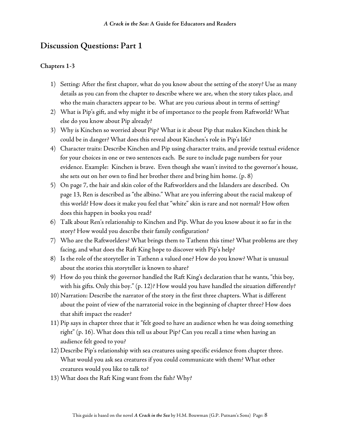- 1) Setting: After the first chapter, what do you know about the setting of the story? Use as many details as you can from the chapter to describe where we are, when the story takes place, and who the main characters appear to be. What are you curious about in terms of setting?
- 2) What is Pip's gift, and why might it be of importance to the people from Raftworld? What else do you know about Pip already?
- 3) Why is Kinchen so worried about Pip? What is it about Pip that makes Kinchen think he could be in danger? What does this reveal about Kinchen's role in Pip's life?
- 4) Character traits: Describe Kinchen and Pip using character traits, and provide textual evidence for your choices in one or two sentences each. Be sure to include page numbers for your evidence. Example: Kinchen is brave. Even though she wasn't invited to the governor's house, she sets out on her own to find her brother there and bring him home. (p. 8)
- 5) On page 7, the hair and skin color of the Raftworlders and the Islanders are described. On page 13, Ren is described as "the albino." What are you inferring about the racial makeup of this world? How does it make you feel that "white" skin is rare and not normal? How often does this happen in books you read?
- 6) Talk about Ren's relationship to Kinchen and Pip. What do you know about it so far in the story? How would you describe their family configuration?
- 7) Who are the Raftworlders? What brings them to Tathenn this time? What problems are they facing, and what does the Raft King hope to discover with Pip's help?
- 8) Is the role of the storyteller in Tathenn a valued one? How do you know? What is unusual about the stories this storyteller is known to share?
- 9) How do you think the governor handled the Raft King's declaration that he wants, "this boy, with his gifts. Only this boy." (p. 12)? How would you have handled the situation differently?
- 10) Narration: Describe the narrator of the story in the first three chapters. What is different about the point of view of the narratorial voice in the beginning of chapter three? How does that shift impact the reader?
- 11) Pip says in chapter three that it "felt good to have an audience when he was doing something right" (p. 16). What does this tell us about Pip? Can you recall a time when having an audience felt good to you?
- 12) Describe Pip's relationship with sea creatures using specific evidence from chapter three. What would you ask sea creatures if you could communicate with them? What other creatures would you like to talk to?
- 13) What does the Raft King want from the fish? Why?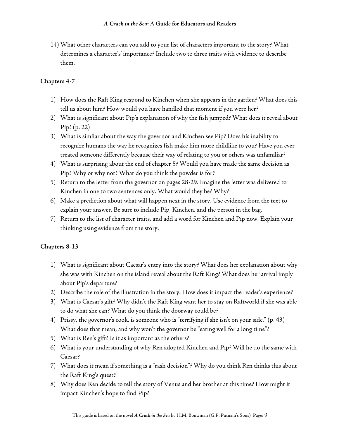14) What other characters can you add to your list of characters important to the story? What determines a character's' importance? Include two to three traits with evidence to describe them.

## **Chapters 4-7**

- 1) How does the Raft King respond to Kinchen when she appears in the garden? What does this tell us about him? How would you have handled that moment if you were her?
- 2) What is significant about Pip's explanation of why the fish jumped? What does it reveal about Pip? (p. 22)
- 3) What is similar about the way the governor and Kinchen see Pip? Does his inability to recognize humans the way he recognizes fish make him more childlike to you? Have you ever treated someone differently because their way of relating to you or others was unfamiliar?
- 4) What is surprising about the end of chapter 5? Would you have made the same decision as Pip? Why or why not? What do you think the powder is for?
- 5) Return to the letter from the governor on pages 28-29. Imagine the letter was delivered to Kinchen in one to two sentences only. What would they be? Why?
- 6) Make a prediction about what will happen next in the story. Use evidence from the text to explain your answer. Be sure to include Pip, Kinchen, and the person in the bag.
- 7) Return to the list of character traits, and add a word for Kinchen and Pip now. Explain your thinking using evidence from the story.

- 1) What is significant about Caesar's entry into the story? What does her explanation about why she was with Kinchen on the island reveal about the Raft King? What does her arrival imply about Pip's departure?
- 2) Describe the role of the illustration in the story. How does it impact the reader's experience?
- 3) What is Caesar's gift? Why didn't the Raft King want her to stay on Raftworld if she was able to do what she can? What do you think the doorway could be?
- 4) Prissy, the governor's cook, is someone who is "terrifying if she isn't on your side." (p. 43) What does that mean, and why won't the governor be "eating well for a long time"?
- 5) What is Ren's gift? Is it as important as the others?
- 6) What is your understanding of why Ren adopted Kinchen and Pip? Will he do the same with Caesar?
- 7) What does it mean if something is a "rash decision"? Why do you think Ren thinks this about the Raft King's quest?
- 8) Why does Ren decide to tell the story of Venus and her brother at this time? How might it impact Kinchen's hope to find Pip?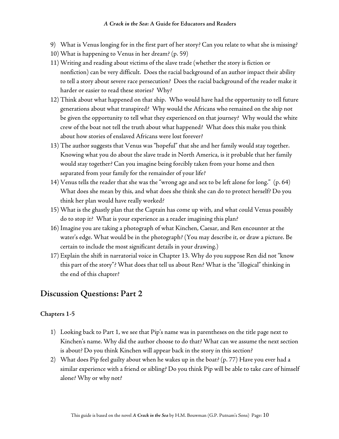- 9) What is Venus longing for in the first part of her story? Can you relate to what she is missing?
- 10) What is happening to Venus in her dream? (p. 59)
- 11) Writing and reading about victims of the slave trade (whether the story is fiction or nonfiction) can be very difficult. Does the racial background of an author impact their ability to tell a story about severe race persecution? Does the racial background of the reader make it harder or easier to read these stories? Why?
- 12) Think about what happened on that ship. Who would have had the opportunity to tell future generations about what transpired? Why would the Africans who remained on the ship not be given the opportunity to tell what they experienced on that journey? Why would the white crew of the boat not tell the truth about what happened? What does this make you think about how stories of enslaved Africans were lost forever?
- 13) The author suggests that Venus was "hopeful" that she and her family would stay together. Knowing what you do about the slave trade in North America, is it probable that her family would stay together? Can you imagine being forcibly taken from your home and then separated from your family for the remainder of your life?
- 14) Venus tells the reader that she was the "wrong age and sex to be left alone for long." (p. 64) What does she mean by this, and what does she think she can do to protect herself? Do you think her plan would have really worked?
- 15) What is the ghastly plan that the Captain has come up with, and what could Venus possibly do to stop it? What is your experience as a reader imagining this plan?
- 16) Imagine you are taking a photograph of what Kinchen, Caesar, and Ren encounter at the water's edge. What would be in the photograph? (You may describe it, or draw a picture. Be certain to include the most significant details in your drawing.)
- 17) Explain the shift in narratorial voice in Chapter 13. Why do you suppose Ren did not "know this part of the story"? What does that tell us about Ren? What is the "illogical" thinking in the end of this chapter?

- 1) Looking back to Part 1, we see that Pip's name was in parentheses on the title page next to Kinchen's name. Why did the author choose to do that? What can we assume the next section is about? Do you think Kinchen will appear back in the story in this section?
- 2) What does Pip feel guilty about when he wakes up in the boat? (p. 77) Have you ever had a similar experience with a friend or sibling? Do you think Pip will be able to take care of himself alone? Why or why not?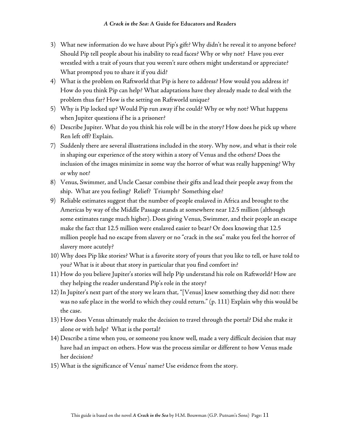- 3) What new information do we have about Pip's gift? Why didn't he reveal it to anyone before? Should Pip tell people about his inability to read faces? Why or why not? Have you ever wrestled with a trait of yours that you weren't sure others might understand or appreciate? What prompted you to share it if you did?
- 4) What is the problem on Raftworld that Pip is here to address? How would you address it? How do you think Pip can help? What adaptations have they already made to deal with the problem thus far? How is the setting on Raftworld unique?
- 5) Why is Pip locked up? Would Pip run away if he could? Why or why not? What happens when Jupiter questions if he is a prisoner?
- 6) Describe Jupiter. What do you think his role will be in the story? How does he pick up where Ren left off? Explain.
- 7) Suddenly there are several illustrations included in the story. Why now, and what is their role in shaping our experience of the story within a story of Venus and the others? Does the inclusion of the images minimize in some way the horror of what was really happening? Why or why not?
- 8) Venus, Swimmer, and Uncle Caesar combine their gifts and lead their people away from the ship. What are you feeling? Relief? Triumph? Something else?
- 9) Reliable estimates suggest that the number of people enslaved in Africa and brought to the Americas by way of the Middle Passage stands at somewhere near 12.5 million (although some estimates range much higher). Does giving Venus, Swimmer, and their people an escape make the fact that 12.5 million were enslaved easier to bear? Or does knowing that 12.5 million people had no escape from slavery or no "crack in the sea" make you feel the horror of slavery more acutely?
- 10) Why does Pip like stories? What is a favorite story of yours that you like to tell, or have told to you? What is it about that story in particular that you find comfort in?
- 11) How do you believe Jupiter's stories will help Pip understand his role on Raftworld? How are they helping the reader understand Pip's role in the story?
- 12) In Jupiter's next part of the story we learn that, "[Venus] knew something they did not: there was no safe place in the world to which they could return." (p. 111) Explain why this would be the case.
- 13) How does Venus ultimately make the decision to travel through the portal? Did she make it alone or with help? What is the portal?
- 14) Describe a time when you, or someone you know well, made a very difficult decision that may have had an impact on others. How was the process similar or different to how Venus made her decision?
- 15) What is the significance of Venus' name? Use evidence from the story.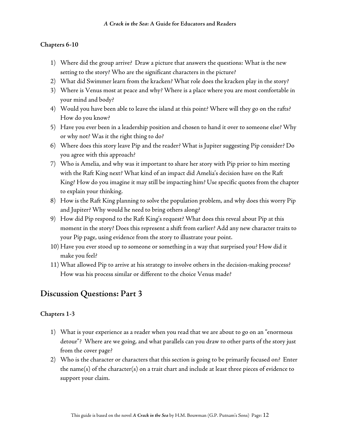### **Chapters 6-10**

- 1) Where did the group arrive? Draw a picture that answers the questions: What is the new setting to the story? Who are the significant characters in the picture?
- 2) What did Swimmer learn from the kracken? What role does the kracken play in the story?
- 3) Where is Venus most at peace and why? Where is a place where you are most comfortable in your mind and body?
- 4) Would you have been able to leave the island at this point? Where will they go on the rafts? How do you know?
- 5) Have you ever been in a leadership position and chosen to hand it over to someone else? Why or why not? Was it the right thing to do?
- 6) Where does this story leave Pip and the reader? What is Jupiter suggesting Pip consider? Do you agree with this approach?
- 7) Who is Amelia, and why was it important to share her story with Pip prior to him meeting with the Raft King next? What kind of an impact did Amelia's decision have on the Raft King? How do you imagine it may still be impacting him? Use specific quotes from the chapter to explain your thinking.
- 8) How is the Raft King planning to solve the population problem, and why does this worry Pip and Jupiter? Why would he need to bring others along?
- 9) How did Pip respond to the Raft King's request? What does this reveal about Pip at this moment in the story? Does this represent a shift from earlier? Add any new character traits to your Pip page, using evidence from the story to illustrate your point.
- 10) Have you ever stood up to someone or something in a way that surprised you? How did it make you feel?
- 11) What allowed Pip to arrive at his strategy to involve others in the decision-making process? How was his process similar or different to the choice Venus made?

## **Discussion Questions: Part 3**

- 1) What is your experience as a reader when you read that we are about to go on an "enormous detour"? Where are we going, and what parallels can you draw to other parts of the story just from the cover page?
- 2) Who is the character or characters that this section is going to be primarily focused on? Enter the name(s) of the character(s) on a trait chart and include at least three pieces of evidence to support your claim.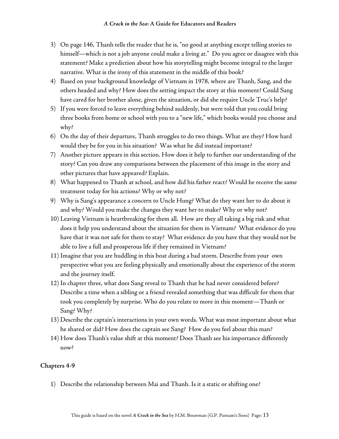- 3) On page 146, Thanh tells the reader that he is, "no good at anything except telling stories to himself—which is not a job anyone could make a living at." Do you agree or disagree with this statement? Make a prediction about how his storytelling might become integral to the larger narrative. What is the irony of this statement in the middle of this book?
- 4) Based on your background knowledge of Vietnam in 1978, where are Thanh, Sang, and the others headed and why? How does the setting impact the story at this moment? Could Sang have cared for her brother alone, given the situation, or did she require Uncle Truc's help?
- 5) If you were forced to leave everything behind suddenly, but were told that you could bring three books from home or school with you to a "new life," which books would you choose and why?
- 6) On the day of their departure, Thanh struggles to do two things. What are they? How hard would they be for you in his situation? Was what he did instead important?
- 7) Another picture appears in this section. How does it help to further our understanding of the story? Can you draw any comparisons between the placement of this image in the story and other pictures that have appeared? Explain.
- 8) What happened to Thanh at school, and how did his father react? Would he receive the same treatment today for his actions? Why or why not?
- 9) Why is Sang's appearance a concern to Uncle Hung? What do they want her to do about it and why? Would you make the changes they want her to make? Why or why not?
- 10) Leaving Vietnam is heartbreaking for them all. How are they all taking a big risk and what does it help you understand about the situation for them in Vietnam? What evidence do you have that it was not safe for them to stay? What evidence do you have that they would not be able to live a full and prosperous life if they remained in Vietnam?
- 11) Imagine that you are huddling in this boat during a bad storm. Describe from your own perspective what you are feeling physically and emotionally about the experience of the storm and the journey itself.
- 12) In chapter three, what does Sang reveal to Thanh that he had never considered before? Describe a time when a sibling or a friend revealed something that was difficult for them that took you completely by surprise. Who do you relate to more in this moment—Thanh or Sang? Why?
- 13) Describe the captain's interactions in your own words. What was most important about what he shared or did? How does the captain see Sang? How do you feel about this man?
- 14) How does Thanh's value shift at this moment? Does Thanh see his importance differently now?

#### **Chapters 4-9**

1) Describe the relationship between Mai and Thanh. Is it a static or shifting one?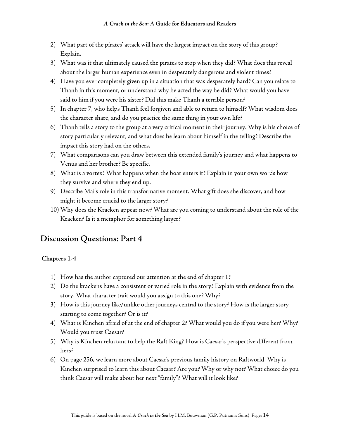- 2) What part of the pirates' attack will have the largest impact on the story of this group? Explain.
- 3) What was it that ultimately caused the pirates to stop when they did? What does this reveal about the larger human experience even in desperately dangerous and violent times?
- 4) Have you ever completely given up in a situation that was desperately hard? Can you relate to Thanh in this moment, or understand why he acted the way he did? What would you have said to him if you were his sister? Did this make Thanh a terrible person?
- 5) In chapter 7, who helps Thanh feel forgiven and able to return to himself? What wisdom does the character share, and do you practice the same thing in your own life?
- 6) Thanh tells a story to the group at a very critical moment in their journey. Why is his choice of story particularly relevant, and what does he learn about himself in the telling? Describe the impact this story had on the others.
- 7) What comparisons can you draw between this extended family's journey and what happens to Venus and her brother? Be specific.
- 8) What is a vortex? What happens when the boat enters it? Explain in your own words how they survive and where they end up.
- 9) Describe Mai's role in this transformative moment. What gift does she discover, and how might it become crucial to the larger story?
- 10) Why does the Kracken appear now? What are you coming to understand about the role of the Kracken? Is it a metaphor for something larger?

- 1) How has the author captured our attention at the end of chapter 1?
- 2) Do the krackens have a consistent or varied role in the story? Explain with evidence from the story. What character trait would you assign to this one? Why?
- 3) How is this journey like/unlike other journeys central to the story? How is the larger story starting to come together? Or is it?
- 4) What is Kinchen afraid of at the end of chapter 2? What would you do if you were her? Why? Would you trust Caesar?
- 5) Why is Kinchen reluctant to help the Raft King? How is Caesar's perspective different from hers?
- 6) On page 256, we learn more about Caesar's previous family history on Raftworld. Why is Kinchen surprised to learn this about Caesar? Are you? Why or why not? What choice do you think Caesar will make about her next "family"? What will it look like?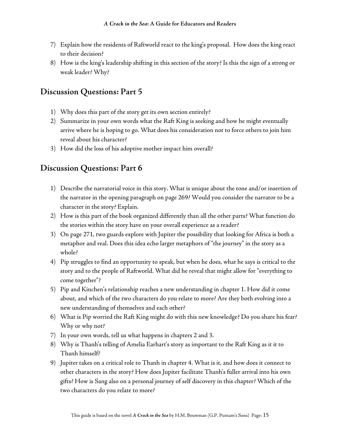- 7) Explain how the residents of Raftworld react to the king's proposal. How does the king react to their decision?
- 8) How is the king's leadership shifting in this section of the story? Is this the sign of a strong or weak leader? Why?

- 1) Why does this part of the story get its own section entirely?
- 2) Summarize in your own words what the Raft King is seeking and how he might eventually arrive where he is hoping to go. What does his consideration not to force others to join him reveal about his character?
- 3) How did the loss of his adoptive mother impact him overall?

## **Discussion Questions: Part 6**

- 1) Describe the narratorial voice in this story. What is unique about the tone and/or insertion of the narrator in the opening paragraph on page 269? Would you consider the narrator to be a character in the story? Explain.
- 2) How is this part of the book organized differently than all the other parts? What function do the stories within the story have on your overall experience as a reader?
- 3) On page 271, two guards explore with Jupiter the possibility that looking for Africa is both a metaphor and real. Does this idea echo larger metaphors of "the journey" in the story as a whole?
- 4) Pip struggles to find an opportunity to speak, but when he does, what he says is critical to the story and to the people of Raftworld. What did he reveal that might allow for "everything to come together"?
- 5) Pip and Kinchen's relationship reaches a new understanding in chapter 1. How did it come about, and which of the two characters do you relate to more? Are they both evolving into a new understanding of themselves and each other?
- 6) What is Pip worried the Raft King might do with this new knowledge? Do you share his fear? Why or why not?
- 7) In your own words, tell us what happens in chapters 2 and 3.
- 8) Why is Thanh's telling of Amelia Earhart's story as important to the Raft King as it it to Thanh himself?
- 9) Jupiter takes on a critical role to Thanh in chapter 4. What is it, and how does it connect to other characters in the story? How does Jupiter facilitate Thanh's fuller arrival into his own gifts? How is Sang also on a personal journey of self discovery in this chapter? Which of the two characters do you relate to more?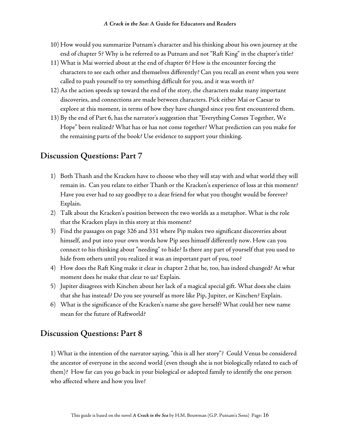- 10) How would you summarize Putnam's character and his thinking about his own journey at the end of chapter 5? Why is he referred to as Putnam and not "Raft King" in the chapter's title?
- 11) What is Mai worried about at the end of chapter 6? How is the encounter forcing the characters to see each other and themselves differently? Can you recall an event when you were called to push yourself to try something difficult for you, and it was worth it?
- 12) As the action speeds up toward the end of the story, the characters make many important discoveries, and connections are made between characters. Pick either Mai or Caesar to explore at this moment, in terms of how they have changed since you first encountered them.
- 13) By the end of Part 6, has the narrator's suggestion that "Everything Comes Together, We Hope" been realized? What has or has not come together? What prediction can you make for the remaining parts of the book? Use evidence to support your thinking.

- 1) Both Thanh and the Kracken have to choose who they will stay with and what world they will remain in. Can you relate to either Thanh or the Kracken's experience of loss at this moment? Have you ever had to say goodbye to a dear friend for what you thought would be forever? Explain.
- 2) Talk about the Kracken's position between the two worlds as a metaphor. What is the role that the Kracken plays in this story at this moment?
- 3) Find the passages on page 326 and 331 where Pip makes two significant discoveries about himself, and put into your own words how Pip sees himself differently now. How can you connect to his thinking about "needing" to hide? Is there any part of yourself that you used to hide from others until you realized it was an important part of you, too?
- 4) How does the Raft King make it clear in chapter 2 that he, too, has indeed changed? At what moment does he make that clear to us? Explain.
- 5) Jupiter disagrees with Kinchen about her lack of a magical special gift. What does she claim that she has instead? Do you see yourself as more like Pip, Jupiter, or Kinchen? Explain.
- 6) What is the significance of the Kracken's name she gave herself? What could her new name mean for the future of Raftworld?

## **Discussion Questions: Part 8**

1) What is the intention of the narrator saying, "this is all her story"? Could Venus be considered the ancestor of everyone in the second world (even though she is not biologically related to each of them)? How far can you go back in your biological or adopted family to identify the one person who affected where and how you live?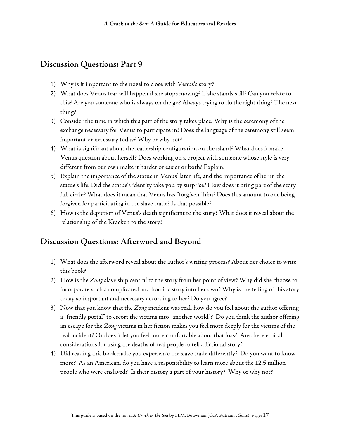- 1) Why is it important to the novel to close with Venus's story?
- 2) What does Venus fear will happen if she stops moving? If she stands still? Can you relate to this? Are you someone who is always on the go? Always trying to do the right thing? The next thing?
- 3) Consider the time in which this part of the story takes place. Why is the ceremony of the exchange necessary for Venus to participate in? Does the language of the ceremony still seem important or necessary today? Why or why not?
- 4) What is significant about the leadership configuration on the island? What does it make Venus question about herself? Does working on a project with someone whose style is very different from our own make it harder or easier or both? Explain.
- 5) Explain the importance of the statue in Venus' later life, and the importance of her in the statue's life. Did the statue's identity take you by surprise? How does it bring part of the story full circle? What does it mean that Venus has "forgiven" him? Does this amount to one being forgiven for participating in the slave trade? Is that possible?
- 6) How is the depiction of Venus's death significant to the story? What does it reveal about the relationship of the Kracken to the story?

## **Discussion Questions: Afterword and Beyond**

- 1) What does the afterword reveal about the author's writing process? About her choice to write this book?
- 2) How is the *Zong* slave ship central to the story from her point of view? Why did she choose to incorporate such a complicated and horrific story into her own? Why is the telling of this story today so important and necessary according to her? Do you agree?
- 3) Now that you know that the *Zong* incident was real, how do you feel about the author offering a "friendly portal" to escort the victims into "another world"? Do you think the author offering an escape for the *Zong* victims in her fiction makes you feel more deeply for the victims of the real incident? Or does it let you feel more comfortable about that loss? Are there ethical considerations for using the deaths of real people to tell a fictional story?
- 4) Did reading this book make you experience the slave trade differently? Do you want to know more? As an American, do you have a responsibility to learn more about the 12.5 million people who were enslaved? Is their history a part of your history? Why or why not?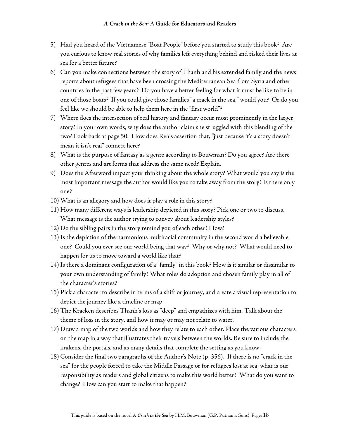- 5) Had you heard of the Vietnamese "Boat People" before you started to study this book? Are you curious to know real stories of why families left everything behind and risked their lives at sea for a better future?
- 6) Can you make connections between the story of Thanh and his extended family and the news reports about refugees that have been crossing the Mediterranean Sea from Syria and other countries in the past few years? Do you have a better feeling for what it must be like to be in one of those boats? If you could give those families "a crack in the sea," would you? Or do you feel like we should be able to help them here in the "first world"?
- 7) Where does the intersection of real history and fantasy occur most prominently in the larger story? In your own words, why does the author claim she struggled with this blending of the two? Look back at page 50. How does Ren's assertion that, "just because it's a story doesn't mean it isn't real" connect here?
- 8) What is the purpose of fantasy as a genre according to Bouwman? Do you agree? Are there other genres and art forms that address the same need? Explain.
- 9) Does the Afterword impact your thinking about the whole story? What would you say is the most important message the author would like you to take away from the story? Is there only one?
- 10) What is an allegory and how does it play a role in this story?
- 11) How many different ways is leadership depicted in this story? Pick one or two to discuss. What message is the author trying to convey about leadership styles?
- 12) Do the sibling pairs in the story remind you of each other? How?
- 13) Is the depiction of the harmonious multiracial community in the second world a believable one? Could you ever see our world being that way? Why or why not? What would need to happen for us to move toward a world like that?
- 14) Is there a dominant configuration of a "family" in this book? How is it similar or dissimilar to your own understanding of family? What roles do adoption and chosen family play in all of the character's stories?
- 15) Pick a character to describe in terms of a shift or journey, and create a visual representation to depict the journey like a timeline or map.
- 16) The Kracken describes Thanh's loss as "deep" and empathizes with him. Talk about the theme of loss in the story, and how it may or may not relate to water.
- 17) Draw a map of the two worlds and how they relate to each other. Place the various characters on the map in a way that illustrates their travels between the worlds. Be sure to include the krakens, the portals, and as many details that complete the setting as you know.
- 18) Consider the final two paragraphs of the Author's Note (p. 356). If there is no "crack in the sea" for the people forced to take the Middle Passage or for refugees lost at sea, what is our responsibility as readers and global citizens to make this world better? What do you want to change? How can you start to make that happen?